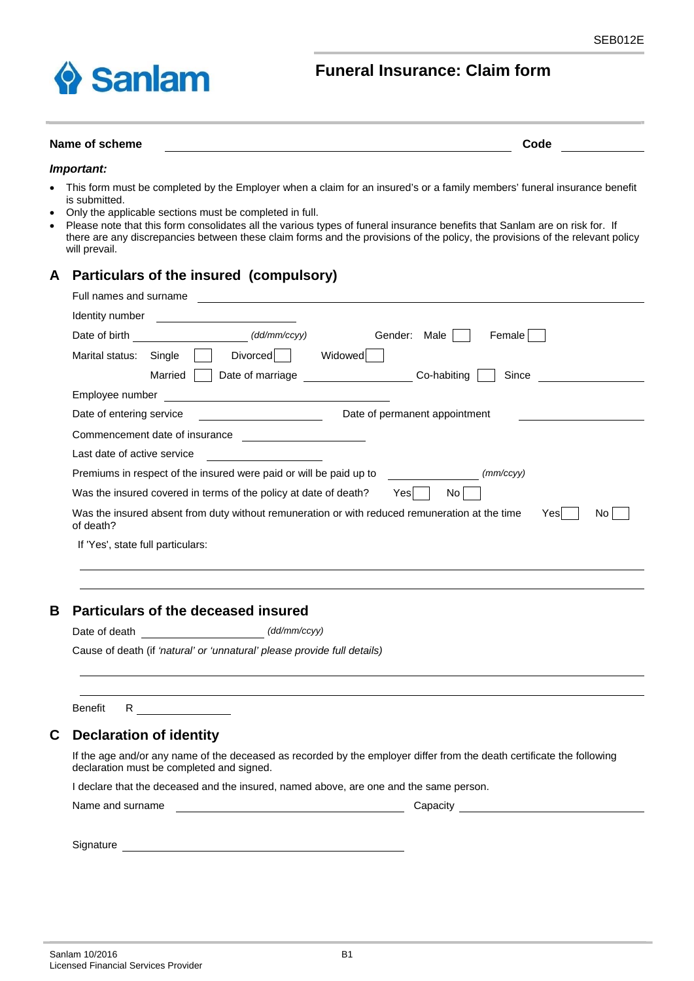

## **Funeral Insurance: Claim form**

### Name of scheme **Code Code Code Code Code Code Code Code Code Code Code Code Code Code CODE**

#### *Important:*

- This form must be completed by the Employer when a claim for an insured's or a family members' funeral insurance benefit is submitted.
- Only the applicable sections must be completed in full.
- Please note that this form consolidates all the various types of funeral insurance benefits that Sanlam are on risk for. If there are any discrepancies between these claim forms and the provisions of the policy, the provisions of the relevant policy will prevail.

## **A Particulars of the insured (compulsory)**

| Full names and surname            |                                                                                                                |
|-----------------------------------|----------------------------------------------------------------------------------------------------------------|
| Identity number                   |                                                                                                                |
| Date of birth                     | (dd/mm/ccyy)<br>Male<br>Female  <br>Gender:                                                                    |
| Marital status:                   | Widowed<br><b>Divorced</b><br>Single                                                                           |
|                                   | Date of marriage<br>Co-habiting<br>Since<br>Married                                                            |
| Employee number                   |                                                                                                                |
| Date of entering service          | Date of permanent appointment                                                                                  |
|                                   | Commencement date of insurance                                                                                 |
| Last date of active service       |                                                                                                                |
|                                   | Premiums in respect of the insured were paid or will be paid up to<br>(mm/ccyy)                                |
|                                   | Was the insured covered in terms of the policy at date of death?<br>Yesl<br>No.                                |
| of death?                         | Was the insured absent from duty without remuneration or with reduced remuneration at the time<br>Yesl<br>No l |
| If 'Yes', state full particulars: |                                                                                                                |

## **B Particulars of the deceased insured**

Date of death  $\frac{1}{d}$  /  $\frac{1}{d}$  /  $\frac{1}{d}$  /  $\frac{1}{d}$  /  $\frac{1}{d}$  /  $\frac{1}{d}$  /  $\frac{1}{d}$  /  $\frac{1}{d}$  /  $\frac{1}{d}$  /  $\frac{1}{d}$  /  $\frac{1}{d}$  /  $\frac{1}{d}$  /  $\frac{1}{d}$  /  $\frac{1}{d}$  /  $\frac{1}{d}$  /  $\frac{1}{d}$  /  $\frac{1}{d}$  /  $\frac{$ 

Cause of death (if *'natural' or 'unnatural' please provide full details)*

Benefit R

### **C Declaration of identity**

 If the age and/or any name of the deceased as recorded by the employer differ from the death certificate the following declaration must be completed and signed.

I declare that the deceased and the insured, named above, are one and the same person.

|  | Name and surname |  |
|--|------------------|--|
|  |                  |  |

Capacity and surname Capacity

Signature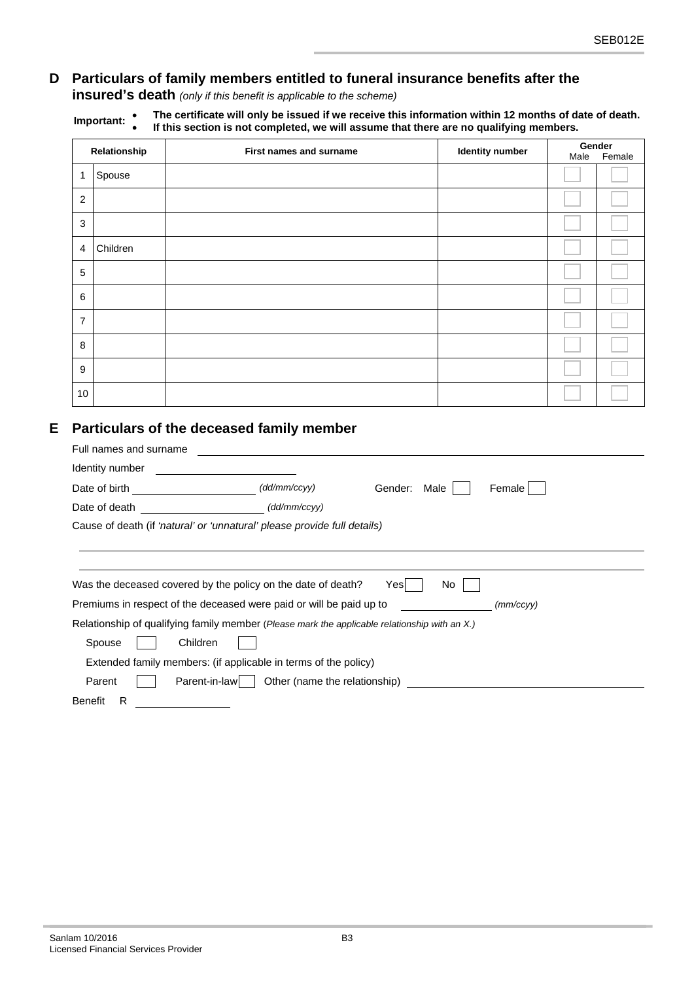# **D Particulars of family members entitled to funeral insurance benefits after the**

**insured's death** *(only if this benefit is applicable to the scheme)*

| Important: | The certificate will only be issued if we receive this information within 12 months of date of death. |
|------------|-------------------------------------------------------------------------------------------------------|
|            | If this section is not completed, we will assume that there are no qualifying members.                |

|                | Relationship | <b>First names and surname</b>                                                                                                                                                                                                     | <b>Identity number</b> | Male | Gender<br>Female |
|----------------|--------------|------------------------------------------------------------------------------------------------------------------------------------------------------------------------------------------------------------------------------------|------------------------|------|------------------|
| 1              | Spouse       |                                                                                                                                                                                                                                    |                        |      |                  |
| 2              |              |                                                                                                                                                                                                                                    |                        |      |                  |
|                |              |                                                                                                                                                                                                                                    |                        |      |                  |
| 3              |              |                                                                                                                                                                                                                                    |                        |      |                  |
| 4              | Children     |                                                                                                                                                                                                                                    |                        |      |                  |
| 5              |              |                                                                                                                                                                                                                                    |                        |      |                  |
| 6              |              |                                                                                                                                                                                                                                    |                        |      |                  |
| $\overline{7}$ |              |                                                                                                                                                                                                                                    |                        |      |                  |
| 8              |              |                                                                                                                                                                                                                                    |                        |      |                  |
| 9              |              |                                                                                                                                                                                                                                    |                        |      |                  |
| 10             |              |                                                                                                                                                                                                                                    |                        |      |                  |
|                |              | Full names and surname <b>contained contained a set of the set of the set of the set of the set of the set of the set of the set of the set of the set of the set of the set of the set of the set of the set of the set of th</b> |                        |      |                  |
|                |              |                                                                                                                                                                                                                                    | Female                 |      |                  |
|                |              | (dd/mm/ccyy)<br>Date of death <b>Exercise 2008</b>                                                                                                                                                                                 |                        |      |                  |
|                |              | Cause of death (if 'natural' or 'unnatural' please provide full details)                                                                                                                                                           |                        |      |                  |
|                |              |                                                                                                                                                                                                                                    |                        |      |                  |
|                |              | Was the deceased covered by the policy on the date of death? Yes                                                                                                                                                                   | No                     |      |                  |
|                |              | Premiums in respect of the deceased were paid or will be paid up to <b>Fig. 1.1.</b> Premiums in respect of the deceased were paid or will be paid up to                                                                           | (mm/ccyy)              |      |                  |
|                |              | Relationship of qualifying family member (Please mark the applicable relationship with an X.)                                                                                                                                      |                        |      |                  |
|                | Spouse       | Children                                                                                                                                                                                                                           |                        |      |                  |
|                |              | Extended family members: (if applicable in terms of the policy)                                                                                                                                                                    |                        |      |                  |
|                |              |                                                                                                                                                                                                                                    |                        |      |                  |
|                | Parent       |                                                                                                                                                                                                                                    |                        |      |                  |

 $E$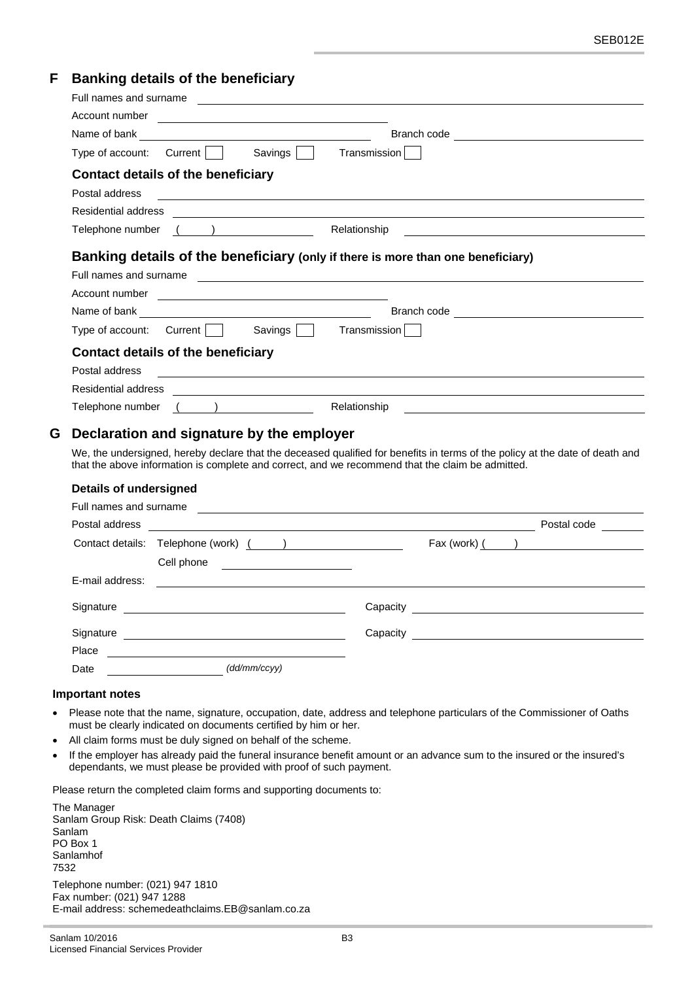## **F Banking details of the beneficiary**

| Full names and surname <b>contained contained a set of the contained a set of the contained a set of the contained a set of the contained a set of the contained a set of the contained a set of the contained a set of the co</b>                                                                                                                                                                                                                                                                                                                                                                                                                                         |
|----------------------------------------------------------------------------------------------------------------------------------------------------------------------------------------------------------------------------------------------------------------------------------------------------------------------------------------------------------------------------------------------------------------------------------------------------------------------------------------------------------------------------------------------------------------------------------------------------------------------------------------------------------------------------|
| Account number <b>expansion of the contract of the contract of the contract of the contract of the contract of the contract of the contract of the contract of the contract of the contract of the contract of the contract of t</b>                                                                                                                                                                                                                                                                                                                                                                                                                                       |
| Branch code <u>______________________________</u>                                                                                                                                                                                                                                                                                                                                                                                                                                                                                                                                                                                                                          |
| Type of account: Current    <br>Savings    <br>Transmission                                                                                                                                                                                                                                                                                                                                                                                                                                                                                                                                                                                                                |
| Contact details of the beneficiary                                                                                                                                                                                                                                                                                                                                                                                                                                                                                                                                                                                                                                         |
| Postal address                                                                                                                                                                                                                                                                                                                                                                                                                                                                                                                                                                                                                                                             |
| Residential address                                                                                                                                                                                                                                                                                                                                                                                                                                                                                                                                                                                                                                                        |
| $\overline{(\hspace{.1cm})\hspace{.1cm}}$<br>Relationship<br>Telephone number                                                                                                                                                                                                                                                                                                                                                                                                                                                                                                                                                                                              |
| Banking details of the beneficiary (only if there is more than one beneficiary)<br>Full names and surname experience and the set of the set of the set of the set of the set of the set of the set of the set of the set of the set of the set of the set of the set of the set of the set of the set of the set<br>Account number <u>experience and the series of the series of the series of the series of the series of the series of the series of the series of the series of the series of the series of the series of the series of the serie</u><br>Type of account: Current $\Box$<br>Savings $\Box$<br>Transmission<br><b>Contact details of the beneficiary</b> |
| Postal address                                                                                                                                                                                                                                                                                                                                                                                                                                                                                                                                                                                                                                                             |
| <b>Residential address</b><br><u> 1989 - Johann Stoff, amerikansk politiker (d. 1989)</u>                                                                                                                                                                                                                                                                                                                                                                                                                                                                                                                                                                                  |
| $($ $)$<br>Relationship<br>Telephone number                                                                                                                                                                                                                                                                                                                                                                                                                                                                                                                                                                                                                                |
| G<br>Declaration and signature by the employer<br>We, the undersigned, hereby declare that the deceased qualified for benefits in terms of the policy at the date of death and                                                                                                                                                                                                                                                                                                                                                                                                                                                                                             |
| that the above information is complete and correct, and we recommend that the claim be admitted.                                                                                                                                                                                                                                                                                                                                                                                                                                                                                                                                                                           |
| <b>Details of undersigned</b>                                                                                                                                                                                                                                                                                                                                                                                                                                                                                                                                                                                                                                              |
| Full names and surname                                                                                                                                                                                                                                                                                                                                                                                                                                                                                                                                                                                                                                                     |

| Postal address  |                                                                                                     |                                            | Postal code                                                                                                                                                                                                                                                                                                                                                                                                                                                                                                                                                                                                          |
|-----------------|-----------------------------------------------------------------------------------------------------|--------------------------------------------|----------------------------------------------------------------------------------------------------------------------------------------------------------------------------------------------------------------------------------------------------------------------------------------------------------------------------------------------------------------------------------------------------------------------------------------------------------------------------------------------------------------------------------------------------------------------------------------------------------------------|
|                 | Cell phone<br><u> 1989 - Andrea Station Barbara, politik a pre</u>                                  |                                            | $\begin{bmatrix} \text{Fax (work)} & \underline{\hspace{1cm}} & \underline{\hspace{1cm}} & \underline{\hspace{1cm}} & \underline{\hspace{1cm}} & \underline{\hspace{1cm}} & \underline{\hspace{1cm}} & \underline{\hspace{1cm}} & \underline{\hspace{1cm}} & \underline{\hspace{1cm}} & \underline{\hspace{1cm}} & \underline{\hspace{1cm}} & \underline{\hspace{1cm}} & \underline{\hspace{1cm}} & \underline{\hspace{1cm}} & \underline{\hspace{1cm}} & \underline{\hspace{1cm}} & \underline{\hspace{1cm}} & \underline{\hspace{1cm}} & \underline{\hspace{1cm}} & \underline{\hspace{1cm}} & \underline{\hspace$ |
| E-mail address: | the contract of the contract of the contract of the contract of the contract of the contract of the |                                            |                                                                                                                                                                                                                                                                                                                                                                                                                                                                                                                                                                                                                      |
| Signature       |                                                                                                     | Capacity <b>Capacity Capacity Capacity</b> |                                                                                                                                                                                                                                                                                                                                                                                                                                                                                                                                                                                                                      |
| Signature       |                                                                                                     | Capacity <b>Capacity</b>                   |                                                                                                                                                                                                                                                                                                                                                                                                                                                                                                                                                                                                                      |
| Place           |                                                                                                     |                                            |                                                                                                                                                                                                                                                                                                                                                                                                                                                                                                                                                                                                                      |
| Date            | (dd/mm/ccyy)                                                                                        |                                            |                                                                                                                                                                                                                                                                                                                                                                                                                                                                                                                                                                                                                      |

### **Important notes**

- Please note that the name, signature, occupation, date, address and telephone particulars of the Commissioner of Oaths must be clearly indicated on documents certified by him or her.
- All claim forms must be duly signed on behalf of the scheme.
- If the employer has already paid the funeral insurance benefit amount or an advance sum to the insured or the insured's dependants, we must please be provided with proof of such payment.

Please return the completed claim forms and supporting documents to:

The Manager Sanlam Group Risk: Death Claims (7408) Sanlam PO Box 1 Sanlamhof 7532 Telephone number: (021) 947 1810 Fax number: (021) 947 1288 E-mail address: schemedeathclaims.EB@sanlam.co.za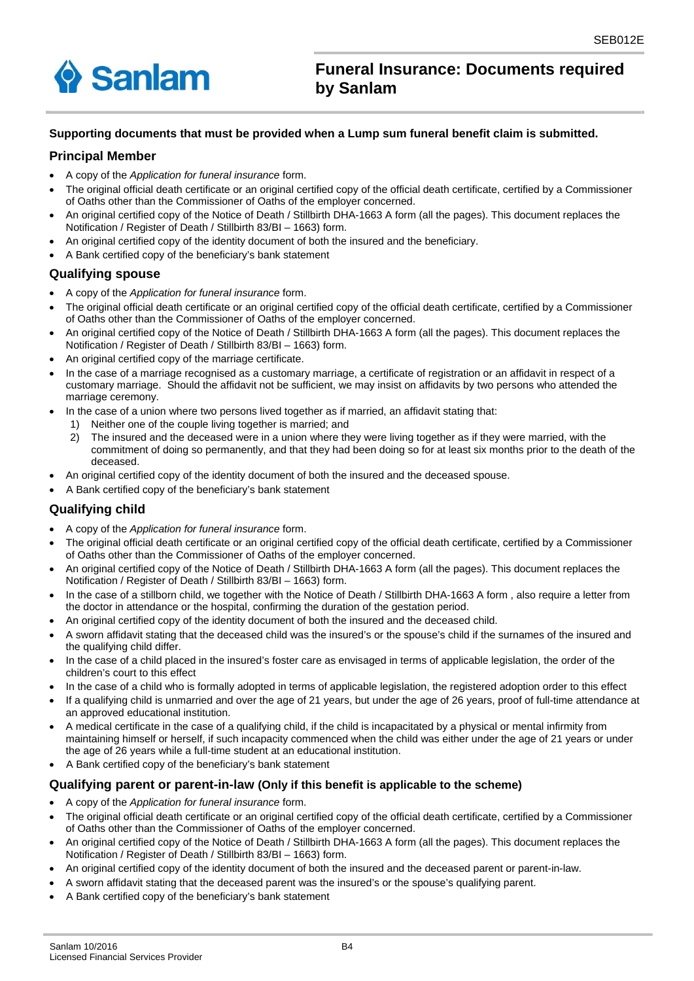

## **Funeral Insurance: Documents required by Sanlam**

### **Supporting documents that must be provided when a Lump sum funeral benefit claim is submitted.**

### **Principal Member**

- A copy of the *Application for funeral insurance* form.
- The original official death certificate or an original certified copy of the official death certificate, certified by a Commissioner of Oaths other than the Commissioner of Oaths of the employer concerned.
- An original certified copy of the Notice of Death / Stillbirth DHA-1663 A form (all the pages). This document replaces the Notification / Register of Death / Stillbirth 83/BI – 1663) form.
- An original certified copy of the identity document of both the insured and the beneficiary.
- A Bank certified copy of the beneficiary's bank statement

### **Qualifying spouse**

- A copy of the *Application for funeral insurance* form.
- The original official death certificate or an original certified copy of the official death certificate, certified by a Commissioner of Oaths other than the Commissioner of Oaths of the employer concerned.
- An original certified copy of the Notice of Death / Stillbirth DHA-1663 A form (all the pages). This document replaces the Notification / Register of Death / Stillbirth 83/BI – 1663) form.
- An original certified copy of the marriage certificate.
- In the case of a marriage recognised as a customary marriage, a certificate of registration or an affidavit in respect of a customary marriage. Should the affidavit not be sufficient, we may insist on affidavits by two persons who attended the marriage ceremony.
- In the case of a union where two persons lived together as if married, an affidavit stating that:
	- 1) Neither one of the couple living together is married; and
	- 2) The insured and the deceased were in a union where they were living together as if they were married, with the commitment of doing so permanently, and that they had been doing so for at least six months prior to the death of the deceased.
- An original certified copy of the identity document of both the insured and the deceased spouse.
- A Bank certified copy of the beneficiary's bank statement

### **Qualifying child**

- A copy of the *Application for funeral insurance* form.
- The original official death certificate or an original certified copy of the official death certificate, certified by a Commissioner of Oaths other than the Commissioner of Oaths of the employer concerned.
- An original certified copy of the Notice of Death / Stillbirth DHA-1663 A form (all the pages). This document replaces the Notification / Register of Death / Stillbirth 83/BI – 1663) form.
- In the case of a stillborn child, we together with the Notice of Death / Stillbirth DHA-1663 A form , also require a letter from the doctor in attendance or the hospital, confirming the duration of the gestation period.
- An original certified copy of the identity document of both the insured and the deceased child.
- A sworn affidavit stating that the deceased child was the insured's or the spouse's child if the surnames of the insured and the qualifying child differ.
- In the case of a child placed in the insured's foster care as envisaged in terms of applicable legislation, the order of the children's court to this effect
- In the case of a child who is formally adopted in terms of applicable legislation, the registered adoption order to this effect
- If a qualifying child is unmarried and over the age of 21 years, but under the age of 26 years, proof of full-time attendance at an approved educational institution.
- A medical certificate in the case of a qualifying child, if the child is incapacitated by a physical or mental infirmity from maintaining himself or herself, if such incapacity commenced when the child was either under the age of 21 years or under the age of 26 years while a full-time student at an educational institution.
- A Bank certified copy of the beneficiary's bank statement

### **Qualifying parent or parent-in-law (Only if this benefit is applicable to the scheme)**

- A copy of the *Application for funeral insurance* form.
- The original official death certificate or an original certified copy of the official death certificate, certified by a Commissioner of Oaths other than the Commissioner of Oaths of the employer concerned.
- An original certified copy of the Notice of Death / Stillbirth DHA-1663 A form (all the pages). This document replaces the Notification / Register of Death / Stillbirth 83/BI – 1663) form.
- An original certified copy of the identity document of both the insured and the deceased parent or parent-in-law.
- A sworn affidavit stating that the deceased parent was the insured's or the spouse's qualifying parent.
- A Bank certified copy of the beneficiary's bank statement